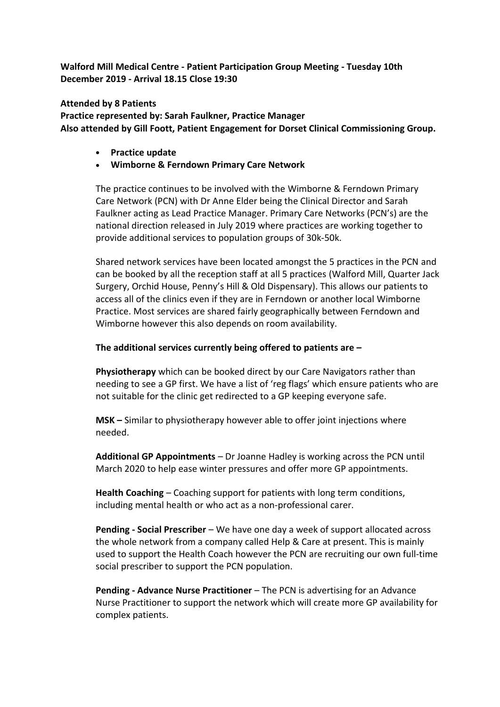**Walford Mill Medical Centre - Patient Participation Group Meeting - Tuesday 10th December 2019 - Arrival 18.15 Close 19:30**

**Attended by 8 Patients Practice represented by: Sarah Faulkner, Practice Manager Also attended by Gill Foott, Patient Engagement for Dorset Clinical Commissioning Group.**

- **Practice update**
- **Wimborne & Ferndown Primary Care Network**

The practice continues to be involved with the Wimborne & Ferndown Primary Care Network (PCN) with Dr Anne Elder being the Clinical Director and Sarah Faulkner acting as Lead Practice Manager. Primary Care Networks (PCN's) are the national direction released in July 2019 where practices are working together to provide additional services to population groups of 30k-50k.

Shared network services have been located amongst the 5 practices in the PCN and can be booked by all the reception staff at all 5 practices (Walford Mill, Quarter Jack Surgery, Orchid House, Penny's Hill & Old Dispensary). This allows our patients to access all of the clinics even if they are in Ferndown or another local Wimborne Practice. Most services are shared fairly geographically between Ferndown and Wimborne however this also depends on room availability.

#### **The additional services currently being offered to patients are –**

**Physiotherapy** which can be booked direct by our Care Navigators rather than needing to see a GP first. We have a list of 'reg flags' which ensure patients who are not suitable for the clinic get redirected to a GP keeping everyone safe.

**MSK –** Similar to physiotherapy however able to offer joint injections where needed.

**Additional GP Appointments** – Dr Joanne Hadley is working across the PCN until March 2020 to help ease winter pressures and offer more GP appointments.

**Health Coaching** – Coaching support for patients with long term conditions, including mental health or who act as a non-professional carer.

**Pending - Social Prescriber** – We have one day a week of support allocated across the whole network from a company called Help & Care at present. This is mainly used to support the Health Coach however the PCN are recruiting our own full-time social prescriber to support the PCN population.

**Pending - Advance Nurse Practitioner** – The PCN is advertising for an Advance Nurse Practitioner to support the network which will create more GP availability for complex patients.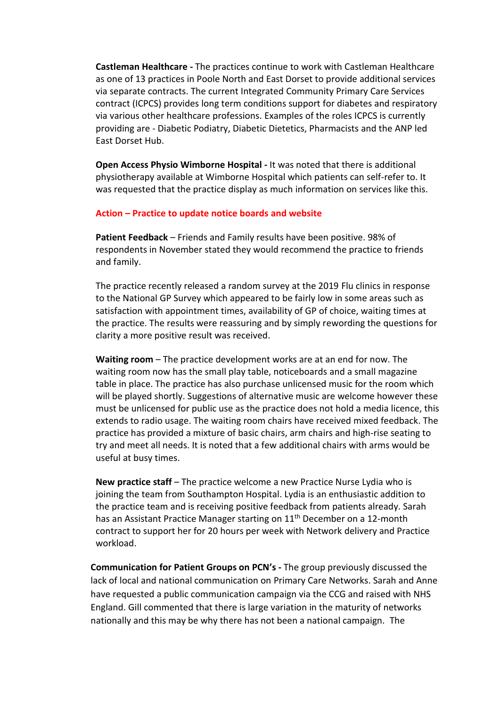**Castleman Healthcare -** The practices continue to work with Castleman Healthcare as one of 13 practices in Poole North and East Dorset to provide additional services via separate contracts. The current Integrated Community Primary Care Services contract (ICPCS) provides long term conditions support for diabetes and respiratory via various other healthcare professions. Examples of the roles ICPCS is currently providing are - Diabetic Podiatry, Diabetic Dietetics, Pharmacists and the ANP led East Dorset Hub.

**Open Access Physio Wimborne Hospital -** It was noted that there is additional physiotherapy available at Wimborne Hospital which patients can self-refer to. It was requested that the practice display as much information on services like this.

#### **Action – Practice to update notice boards and website**

**Patient Feedback** – Friends and Family results have been positive. 98% of respondents in November stated they would recommend the practice to friends and family.

The practice recently released a random survey at the 2019 Flu clinics in response to the National GP Survey which appeared to be fairly low in some areas such as satisfaction with appointment times, availability of GP of choice, waiting times at the practice. The results were reassuring and by simply rewording the questions for clarity a more positive result was received.

**Waiting room** – The practice development works are at an end for now. The waiting room now has the small play table, noticeboards and a small magazine table in place. The practice has also purchase unlicensed music for the room which will be played shortly. Suggestions of alternative music are welcome however these must be unlicensed for public use as the practice does not hold a media licence, this extends to radio usage. The waiting room chairs have received mixed feedback. The practice has provided a mixture of basic chairs, arm chairs and high-rise seating to try and meet all needs. It is noted that a few additional chairs with arms would be useful at busy times.

**New practice staff** – The practice welcome a new Practice Nurse Lydia who is joining the team from Southampton Hospital. Lydia is an enthusiastic addition to the practice team and is receiving positive feedback from patients already. Sarah has an Assistant Practice Manager starting on 11<sup>th</sup> December on a 12-month contract to support her for 20 hours per week with Network delivery and Practice workload.

**Communication for Patient Groups on PCN's -** The group previously discussed the lack of local and national communication on Primary Care Networks. Sarah and Anne have requested a public communication campaign via the CCG and raised with NHS England. Gill commented that there is large variation in the maturity of networks nationally and this may be why there has not been a national campaign. The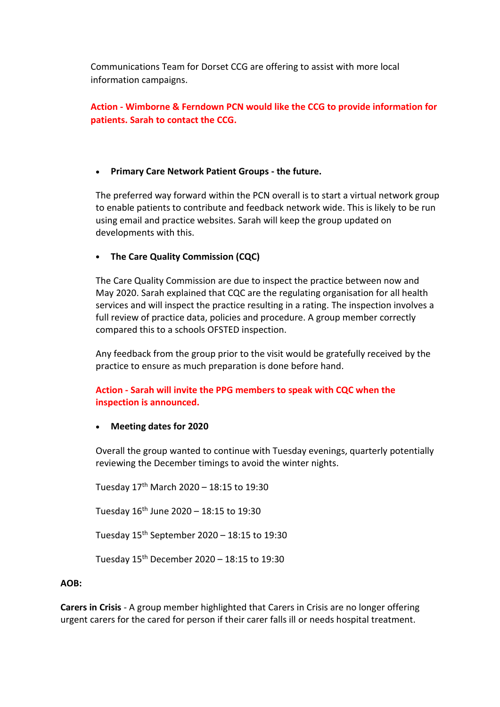Communications Team for Dorset CCG are offering to assist with more local information campaigns.

# **Action - Wimborne & Ferndown PCN would like the CCG to provide information for patients. Sarah to contact the CCG.**

## • **Primary Care Network Patient Groups - the future.**

The preferred way forward within the PCN overall is to start a virtual network group to enable patients to contribute and feedback network wide. This is likely to be run using email and practice websites. Sarah will keep the group updated on developments with this.

### • **The Care Quality Commission (CQC)**

The Care Quality Commission are due to inspect the practice between now and May 2020. Sarah explained that CQC are the regulating organisation for all health services and will inspect the practice resulting in a rating. The inspection involves a full review of practice data, policies and procedure. A group member correctly compared this to a schools OFSTED inspection.

Any feedback from the group prior to the visit would be gratefully received by the practice to ensure as much preparation is done before hand.

# **Action - Sarah will invite the PPG members to speak with CQC when the inspection is announced.**

#### • **Meeting dates for 2020**

Overall the group wanted to continue with Tuesday evenings, quarterly potentially reviewing the December timings to avoid the winter nights.

Tuesday 17th March 2020 – 18:15 to 19:30

Tuesday  $16^{th}$  June 2020 – 18:15 to 19:30

Tuesday  $15^{th}$  September 2020 – 18:15 to 19:30

Tuesday  $15^{th}$  December 2020 – 18:15 to 19:30

### **AOB:**

**Carers in Crisis** - A group member highlighted that Carers in Crisis are no longer offering urgent carers for the cared for person if their carer falls ill or needs hospital treatment.